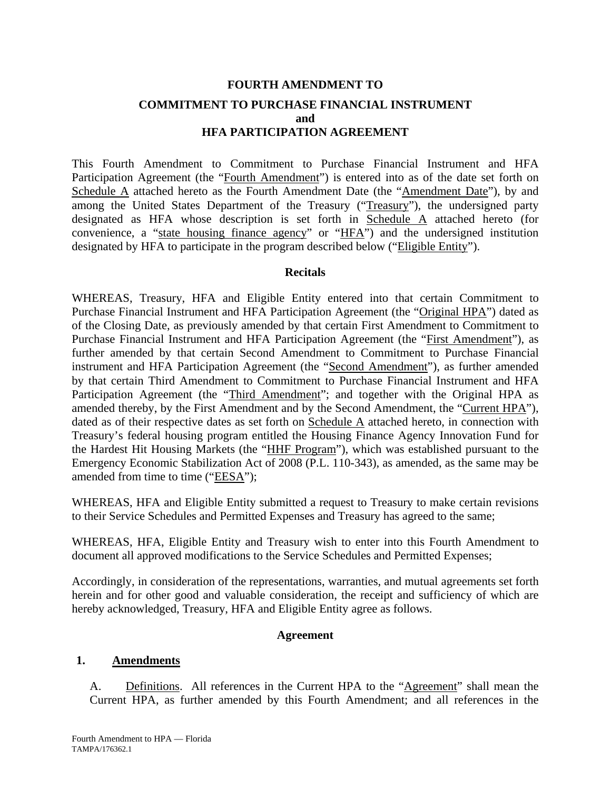# **FOURTH AMENDMENT TO COMMITMENT TO PURCHASE FINANCIAL INSTRUMENT and HFA PARTICIPATION AGREEMENT**

This Fourth Amendment to Commitment to Purchase Financial Instrument and HFA Participation Agreement (the "Fourth Amendment") is entered into as of the date set forth on Schedule A attached hereto as the Fourth Amendment Date (the "Amendment Date"), by and among the United States Department of the Treasury ("Treasury"), the undersigned party designated as HFA whose description is set forth in Schedule A attached hereto (for convenience, a "state housing finance agency" or "HFA") and the undersigned institution designated by HFA to participate in the program described below ("Eligible Entity").

#### **Recitals**

WHEREAS, Treasury, HFA and Eligible Entity entered into that certain Commitment to Purchase Financial Instrument and HFA Participation Agreement (the "Original HPA") dated as of the Closing Date, as previously amended by that certain First Amendment to Commitment to Purchase Financial Instrument and HFA Participation Agreement (the "First Amendment"), as further amended by that certain Second Amendment to Commitment to Purchase Financial instrument and HFA Participation Agreement (the "Second Amendment"), as further amended by that certain Third Amendment to Commitment to Purchase Financial Instrument and HFA Participation Agreement (the "Third Amendment"; and together with the Original HPA as amended thereby, by the First Amendment and by the Second Amendment, the "Current HPA"), dated as of their respective dates as set forth on Schedule A attached hereto, in connection with Treasury's federal housing program entitled the Housing Finance Agency Innovation Fund for the Hardest Hit Housing Markets (the "HHF Program"), which was established pursuant to the Emergency Economic Stabilization Act of 2008 (P.L. 110-343), as amended, as the same may be amended from time to time ("EESA");

WHEREAS, HFA and Eligible Entity submitted a request to Treasury to make certain revisions to their Service Schedules and Permitted Expenses and Treasury has agreed to the same;

WHEREAS, HFA, Eligible Entity and Treasury wish to enter into this Fourth Amendment to document all approved modifications to the Service Schedules and Permitted Expenses;

Accordingly, in consideration of the representations, warranties, and mutual agreements set forth herein and for other good and valuable consideration, the receipt and sufficiency of which are hereby acknowledged, Treasury, HFA and Eligible Entity agree as follows.

#### **Agreement**

#### **1. Amendments**

A. Definitions. All references in the Current HPA to the "Agreement" shall mean the Current HPA, as further amended by this Fourth Amendment; and all references in the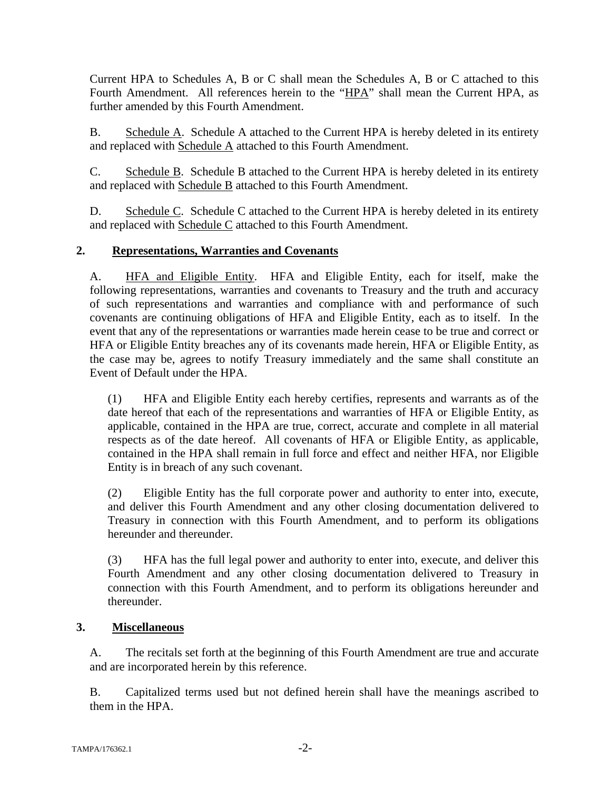Current HPA to Schedules A, B or C shall mean the Schedules A, B or C attached to this Fourth Amendment. All references herein to the "HPA" shall mean the Current HPA, as further amended by this Fourth Amendment.

B. Schedule A. Schedule A attached to the Current HPA is hereby deleted in its entirety and replaced with Schedule A attached to this Fourth Amendment.

C. Schedule B. Schedule B attached to the Current HPA is hereby deleted in its entirety and replaced with Schedule B attached to this Fourth Amendment.

D. Schedule C. Schedule C attached to the Current HPA is hereby deleted in its entirety and replaced with Schedule C attached to this Fourth Amendment.

## **2. Representations, Warranties and Covenants**

A. HFA and Eligible Entity. HFA and Eligible Entity, each for itself, make the following representations, warranties and covenants to Treasury and the truth and accuracy of such representations and warranties and compliance with and performance of such covenants are continuing obligations of HFA and Eligible Entity, each as to itself. In the event that any of the representations or warranties made herein cease to be true and correct or HFA or Eligible Entity breaches any of its covenants made herein, HFA or Eligible Entity, as the case may be, agrees to notify Treasury immediately and the same shall constitute an Event of Default under the HPA.

(1) HFA and Eligible Entity each hereby certifies, represents and warrants as of the date hereof that each of the representations and warranties of HFA or Eligible Entity, as applicable, contained in the HPA are true, correct, accurate and complete in all material respects as of the date hereof. All covenants of HFA or Eligible Entity, as applicable, contained in the HPA shall remain in full force and effect and neither HFA, nor Eligible Entity is in breach of any such covenant.

(2) Eligible Entity has the full corporate power and authority to enter into, execute, and deliver this Fourth Amendment and any other closing documentation delivered to Treasury in connection with this Fourth Amendment, and to perform its obligations hereunder and thereunder.

(3) HFA has the full legal power and authority to enter into, execute, and deliver this Fourth Amendment and any other closing documentation delivered to Treasury in connection with this Fourth Amendment, and to perform its obligations hereunder and thereunder.

## **3. Miscellaneous**

A. The recitals set forth at the beginning of this Fourth Amendment are true and accurate and are incorporated herein by this reference.

B. Capitalized terms used but not defined herein shall have the meanings ascribed to them in the HPA.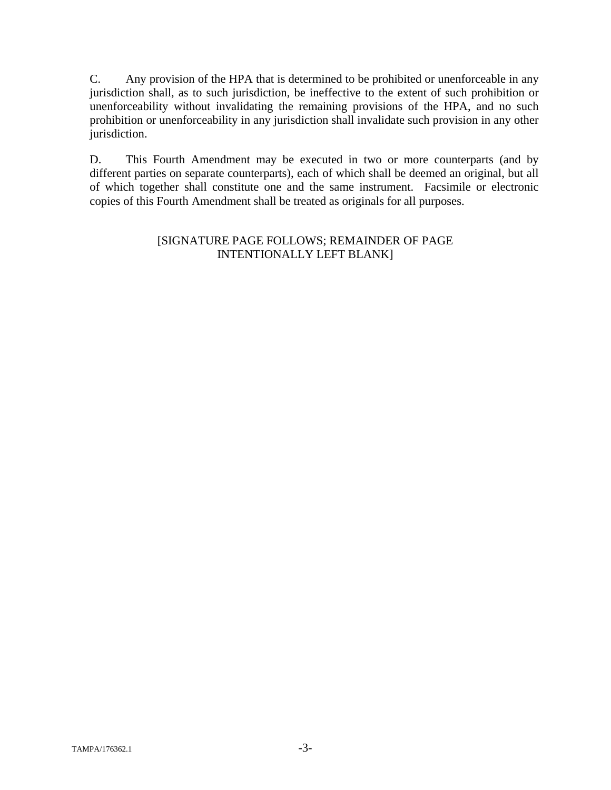C. Any provision of the HPA that is determined to be prohibited or unenforceable in any jurisdiction shall, as to such jurisdiction, be ineffective to the extent of such prohibition or unenforceability without invalidating the remaining provisions of the HPA, and no such prohibition or unenforceability in any jurisdiction shall invalidate such provision in any other jurisdiction.

D. This Fourth Amendment may be executed in two or more counterparts (and by different parties on separate counterparts), each of which shall be deemed an original, but all of which together shall constitute one and the same instrument. Facsimile or electronic copies of this Fourth Amendment shall be treated as originals for all purposes.

#### [SIGNATURE PAGE FOLLOWS; REMAINDER OF PAGE INTENTIONALLY LEFT BLANK]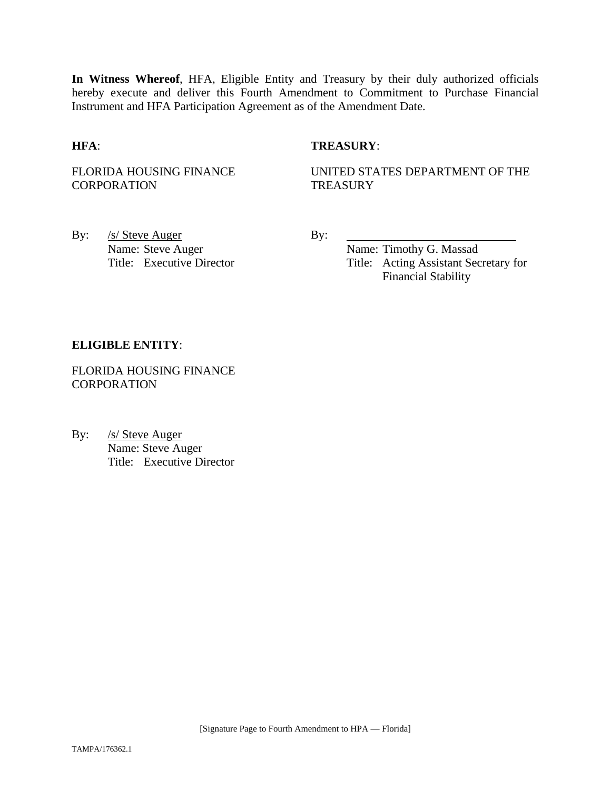**In Witness Whereof**, HFA, Eligible Entity and Treasury by their duly authorized officials hereby execute and deliver this Fourth Amendment to Commitment to Purchase Financial Instrument and HFA Participation Agreement as of the Amendment Date.

#### **HFA**: **TREASURY**:

FLORIDA HOUSING FINANCE **CORPORATION** 

UNITED STATES DEPARTMENT OF THE **TREASURY** 

By: <u>/s/ Steve Auger</u> By: Name: Steve Auger Name: Timothy G. Massad

Title: Executive Director Title: Acting Assistant Secretary for Financial Stability

#### **ELIGIBLE ENTITY**:

FLORIDA HOUSING FINANCE **CORPORATION** 

By: /s/ Steve Auger Name: Steve Auger Title: Executive Director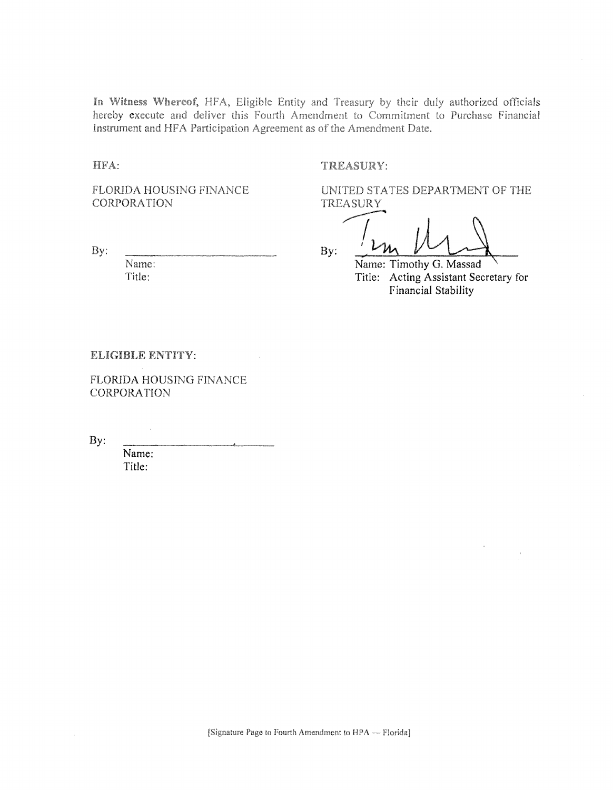In Witness Whereof, HFA, Eligible Entity and Treasury by their duly authorized officials hereby execute and deliver this Fourth Amendment to Commitment to Purchase Financial Instrument and HFA Participation Agreement as of the Amendment Date.

HFA:

TREASURY:

FLORIDA HOUSING FINANCE **CORPORATION** 

By:

Name: Title:

UNITED STATES DEPARTMENT OF THE **TREASURY** 

By: Name: Timothy G. Massad

Title: Acting Assistant Secretary for Financial Stability

ELIGIBLE ENTITY:

**FLORIDA HOUSING FINANCE** CORPORATION

By:

Name: Title: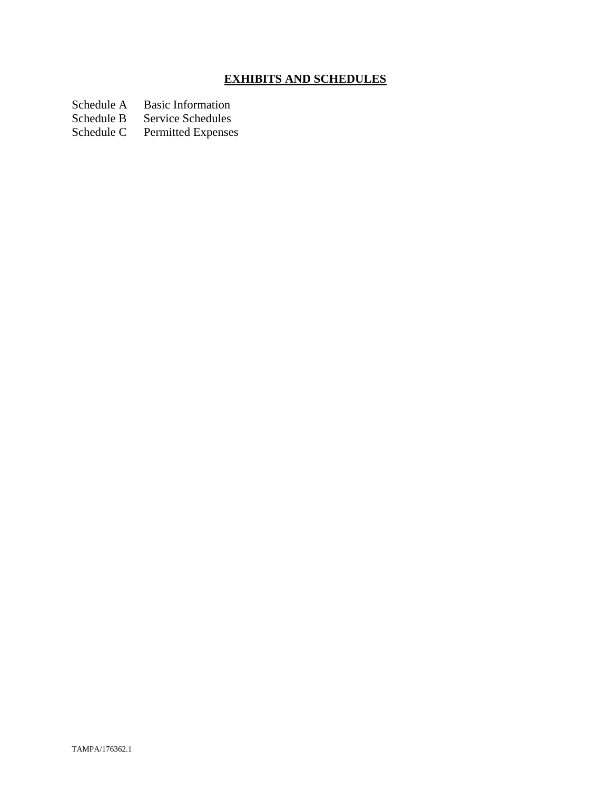# **EXHIBITS AND SCHEDULES**

Schedule A Basic Information<br>Schedule B Service Schedules

Schedule B Service Schedules<br>Schedule C Permitted Expenses

Permitted Expenses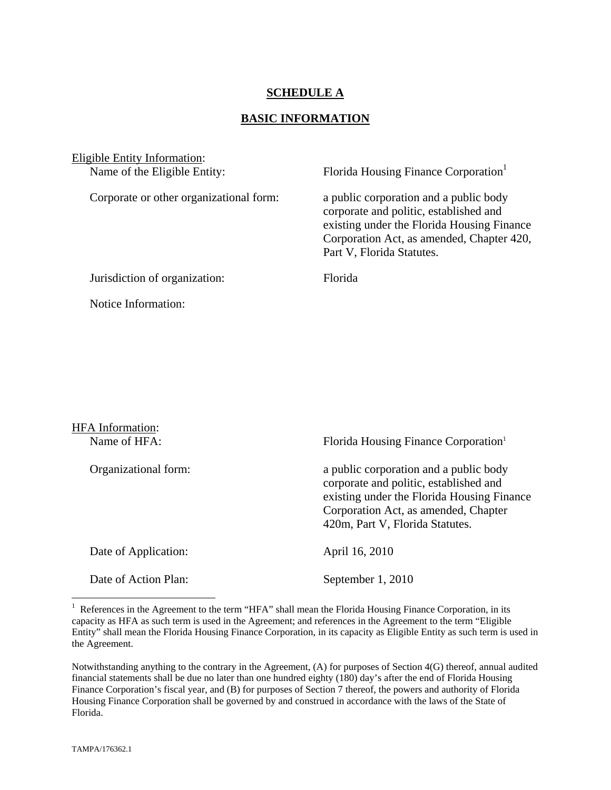### **SCHEDULE A**

#### **BASIC INFORMATION**

| Eligible Entity Information:<br>Name of the Eligible Entity: | Florida Housing Finance Corporation                                                                                                                                                                      |
|--------------------------------------------------------------|----------------------------------------------------------------------------------------------------------------------------------------------------------------------------------------------------------|
| Corporate or other organizational form:                      | a public corporation and a public body<br>corporate and politic, established and<br>existing under the Florida Housing Finance<br>Corporation Act, as amended, Chapter 420,<br>Part V, Florida Statutes. |
| Jurisdiction of organization:                                | <b>Florida</b>                                                                                                                                                                                           |
| Notice Information:                                          |                                                                                                                                                                                                          |

| <b>HFA</b> Information: |                                                                                                                                                                                                           |
|-------------------------|-----------------------------------------------------------------------------------------------------------------------------------------------------------------------------------------------------------|
| Name of HFA:            | Florida Housing Finance Corporation <sup>1</sup>                                                                                                                                                          |
| Organizational form:    | a public corporation and a public body<br>corporate and politic, established and<br>existing under the Florida Housing Finance<br>Corporation Act, as amended, Chapter<br>420m, Part V, Florida Statutes. |
| Date of Application:    | April 16, 2010                                                                                                                                                                                            |
| Date of Action Plan:    | September 1, 2010                                                                                                                                                                                         |

<sup>&</sup>lt;sup>1</sup> References in the Agreement to the term "HFA" shall mean the Florida Housing Finance Corporation, in its capacity as HFA as such term is used in the Agreement; and references in the Agreement to the term "Eligible Entity" shall mean the Florida Housing Finance Corporation, in its capacity as Eligible Entity as such term is used in the Agreement.

1

Notwithstanding anything to the contrary in the Agreement, (A) for purposes of Section 4(G) thereof, annual audited financial statements shall be due no later than one hundred eighty (180) day's after the end of Florida Housing Finance Corporation's fiscal year, and (B) for purposes of Section 7 thereof, the powers and authority of Florida Housing Finance Corporation shall be governed by and construed in accordance with the laws of the State of Florida.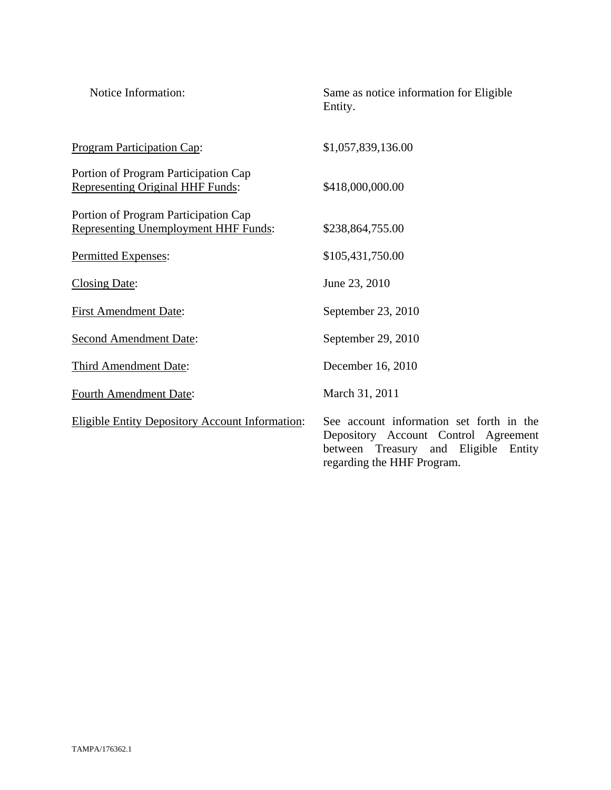| Notice Information:                                                                 | Same as notice information for Eligible<br>Entity.                                                                                                     |
|-------------------------------------------------------------------------------------|--------------------------------------------------------------------------------------------------------------------------------------------------------|
| Program Participation Cap:                                                          | \$1,057,839,136.00                                                                                                                                     |
| Portion of Program Participation Cap<br><b>Representing Original HHF Funds:</b>     | \$418,000,000.00                                                                                                                                       |
| Portion of Program Participation Cap<br><b>Representing Unemployment HHF Funds:</b> | \$238,864,755.00                                                                                                                                       |
| Permitted Expenses:                                                                 | \$105,431,750.00                                                                                                                                       |
| <b>Closing Date:</b>                                                                | June 23, 2010                                                                                                                                          |
| <b>First Amendment Date:</b>                                                        | September 23, 2010                                                                                                                                     |
| <b>Second Amendment Date:</b>                                                       | September 29, 2010                                                                                                                                     |
| Third Amendment Date:                                                               | December 16, 2010                                                                                                                                      |
| <b>Fourth Amendment Date:</b>                                                       | March 31, 2011                                                                                                                                         |
| <b>Eligible Entity Depository Account Information:</b>                              | See account information set forth in the<br>Depository Account Control Agreement<br>between Treasury and Eligible Entity<br>regarding the HHF Program. |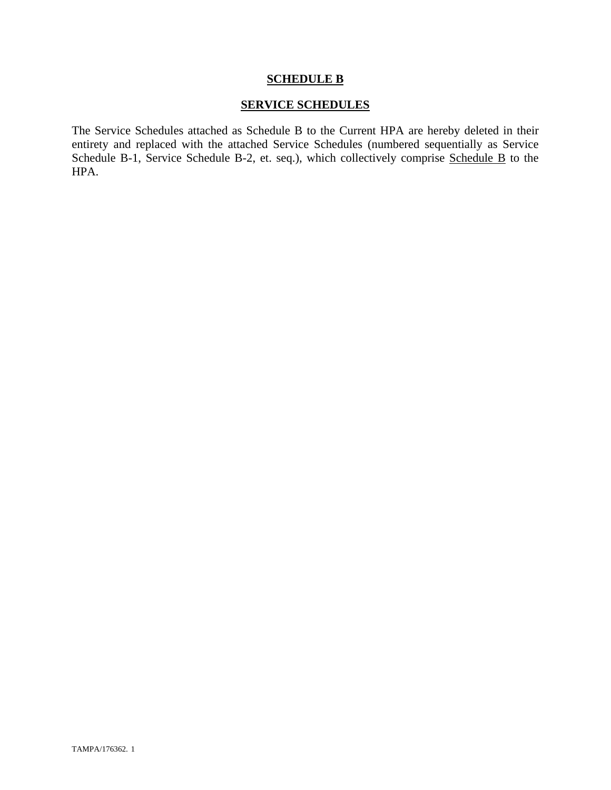#### **SCHEDULE B**

### **SERVICE SCHEDULES**

The Service Schedules attached as Schedule B to the Current HPA are hereby deleted in their entirety and replaced with the attached Service Schedules (numbered sequentially as Service Schedule B-1, Service Schedule B-2, et. seq.), which collectively comprise Schedule B to the HPA.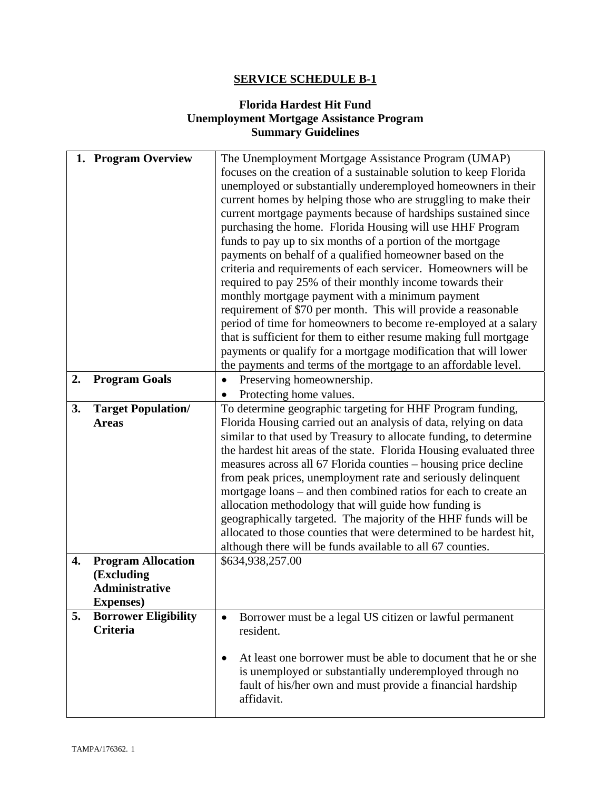## **SERVICE SCHEDULE B-1**

## **Florida Hardest Hit Fund Unemployment Mortgage Assistance Program Summary Guidelines**

|    | 1. Program Overview         | The Unemployment Mortgage Assistance Program (UMAP)                        |
|----|-----------------------------|----------------------------------------------------------------------------|
|    |                             | focuses on the creation of a sustainable solution to keep Florida          |
|    |                             | unemployed or substantially underemployed homeowners in their              |
|    |                             | current homes by helping those who are struggling to make their            |
|    |                             | current mortgage payments because of hardships sustained since             |
|    |                             | purchasing the home. Florida Housing will use HHF Program                  |
|    |                             | funds to pay up to six months of a portion of the mortgage                 |
|    |                             | payments on behalf of a qualified homeowner based on the                   |
|    |                             | criteria and requirements of each servicer. Homeowners will be             |
|    |                             | required to pay 25% of their monthly income towards their                  |
|    |                             | monthly mortgage payment with a minimum payment                            |
|    |                             | requirement of \$70 per month. This will provide a reasonable              |
|    |                             | period of time for homeowners to become re-employed at a salary            |
|    |                             | that is sufficient for them to either resume making full mortgage          |
|    |                             | payments or qualify for a mortgage modification that will lower            |
|    |                             | the payments and terms of the mortgage to an affordable level.             |
| 2. | <b>Program Goals</b>        | Preserving homeownership.<br>$\bullet$                                     |
|    |                             | Protecting home values.                                                    |
| 3. | <b>Target Population/</b>   | To determine geographic targeting for HHF Program funding,                 |
|    | <b>Areas</b>                | Florida Housing carried out an analysis of data, relying on data           |
|    |                             | similar to that used by Treasury to allocate funding, to determine         |
|    |                             | the hardest hit areas of the state. Florida Housing evaluated three        |
|    |                             | measures across all 67 Florida counties – housing price decline            |
|    |                             | from peak prices, unemployment rate and seriously delinquent               |
|    |                             | mortgage loans – and then combined ratios for each to create an            |
|    |                             | allocation methodology that will guide how funding is                      |
|    |                             | geographically targeted. The majority of the HHF funds will be             |
|    |                             | allocated to those counties that were determined to be hardest hit,        |
|    |                             | although there will be funds available to all 67 counties.                 |
| 4. | <b>Program Allocation</b>   | \$634,938,257.00                                                           |
|    | (Excluding                  |                                                                            |
|    | <b>Administrative</b>       |                                                                            |
|    | <b>Expenses</b> )           |                                                                            |
| 5. | <b>Borrower Eligibility</b> | Borrower must be a legal US citizen or lawful permanent<br>$\bullet$       |
|    | <b>Criteria</b>             | resident.                                                                  |
|    |                             |                                                                            |
|    |                             | At least one borrower must be able to document that he or she<br>$\bullet$ |
|    |                             | is unemployed or substantially underemployed through no                    |
|    |                             | fault of his/her own and must provide a financial hardship                 |
|    |                             | affidavit.                                                                 |
|    |                             |                                                                            |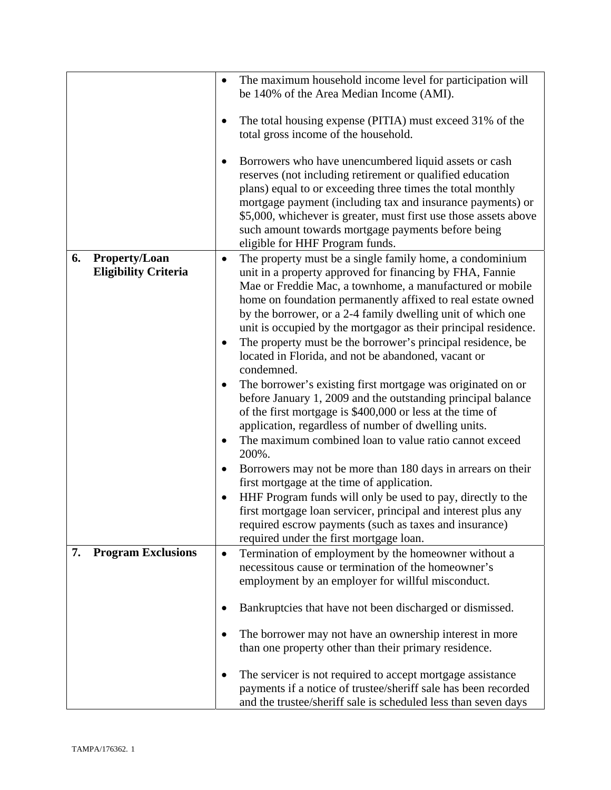|                                                           | The maximum household income level for participation will<br>$\bullet$<br>be 140% of the Area Median Income (AMI).<br>The total housing expense (PITIA) must exceed 31% of the<br>total gross income of the household.<br>Borrowers who have unencumbered liquid assets or cash<br>reserves (not including retirement or qualified education<br>plans) equal to or exceeding three times the total monthly<br>mortgage payment (including tax and insurance payments) or                                                                                                                                                                                                                                                                                                                                                                                                                                                                                                                                                                                                                                                                                                                                                                           |
|-----------------------------------------------------------|----------------------------------------------------------------------------------------------------------------------------------------------------------------------------------------------------------------------------------------------------------------------------------------------------------------------------------------------------------------------------------------------------------------------------------------------------------------------------------------------------------------------------------------------------------------------------------------------------------------------------------------------------------------------------------------------------------------------------------------------------------------------------------------------------------------------------------------------------------------------------------------------------------------------------------------------------------------------------------------------------------------------------------------------------------------------------------------------------------------------------------------------------------------------------------------------------------------------------------------------------|
|                                                           | \$5,000, whichever is greater, must first use those assets above<br>such amount towards mortgage payments before being<br>eligible for HHF Program funds.                                                                                                                                                                                                                                                                                                                                                                                                                                                                                                                                                                                                                                                                                                                                                                                                                                                                                                                                                                                                                                                                                          |
| <b>Property/Loan</b><br>6.<br><b>Eligibility Criteria</b> | The property must be a single family home, a condominium<br>$\bullet$<br>unit in a property approved for financing by FHA, Fannie<br>Mae or Freddie Mac, a townhome, a manufactured or mobile<br>home on foundation permanently affixed to real estate owned<br>by the borrower, or a 2-4 family dwelling unit of which one<br>unit is occupied by the mortgagor as their principal residence.<br>The property must be the borrower's principal residence, be<br>located in Florida, and not be abandoned, vacant or<br>condemned.<br>The borrower's existing first mortgage was originated on or<br>before January 1, 2009 and the outstanding principal balance<br>of the first mortgage is \$400,000 or less at the time of<br>application, regardless of number of dwelling units.<br>The maximum combined loan to value ratio cannot exceed<br>$\bullet$<br>200%.<br>Borrowers may not be more than 180 days in arrears on their<br>$\bullet$<br>first mortgage at the time of application.<br>HHF Program funds will only be used to pay, directly to the<br>$\bullet$<br>first mortgage loan servicer, principal and interest plus any<br>required escrow payments (such as taxes and insurance)<br>required under the first mortgage loan. |
| <b>Program Exclusions</b><br>7.                           | Termination of employment by the homeowner without a<br>$\bullet$<br>necessitous cause or termination of the homeowner's<br>employment by an employer for willful misconduct.                                                                                                                                                                                                                                                                                                                                                                                                                                                                                                                                                                                                                                                                                                                                                                                                                                                                                                                                                                                                                                                                      |
|                                                           | Bankruptcies that have not been discharged or dismissed.<br>The borrower may not have an ownership interest in more<br>than one property other than their primary residence.                                                                                                                                                                                                                                                                                                                                                                                                                                                                                                                                                                                                                                                                                                                                                                                                                                                                                                                                                                                                                                                                       |
|                                                           | The servicer is not required to accept mortgage assistance<br>payments if a notice of trustee/sheriff sale has been recorded<br>and the trustee/sheriff sale is scheduled less than seven days                                                                                                                                                                                                                                                                                                                                                                                                                                                                                                                                                                                                                                                                                                                                                                                                                                                                                                                                                                                                                                                     |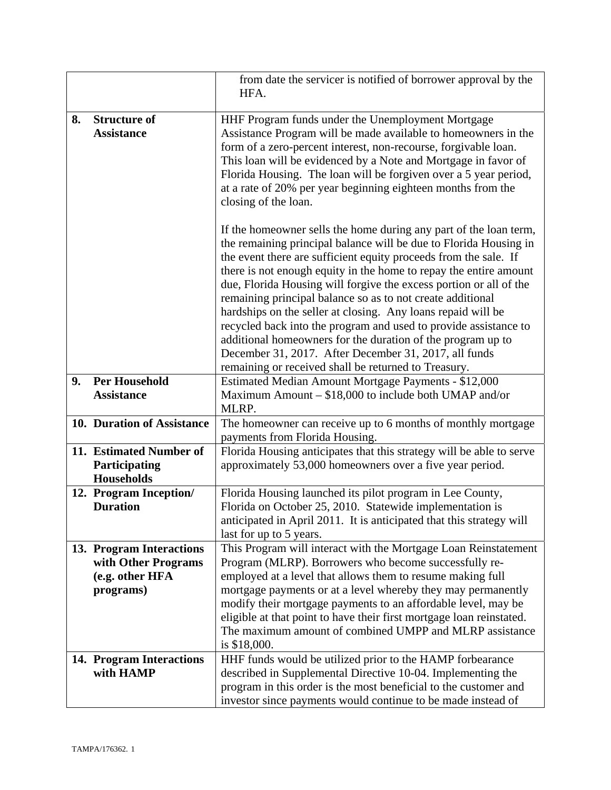|    |                            | from date the servicer is notified of borrower approval by the<br>HFA. |
|----|----------------------------|------------------------------------------------------------------------|
| 8. | <b>Structure of</b>        | HHF Program funds under the Unemployment Mortgage                      |
|    | <b>Assistance</b>          | Assistance Program will be made available to homeowners in the         |
|    |                            |                                                                        |
|    |                            | form of a zero-percent interest, non-recourse, forgivable loan.        |
|    |                            | This loan will be evidenced by a Note and Mortgage in favor of         |
|    |                            | Florida Housing. The loan will be forgiven over a 5 year period,       |
|    |                            | at a rate of 20% per year beginning eighteen months from the           |
|    |                            | closing of the loan.                                                   |
|    |                            |                                                                        |
|    |                            | If the homeowner sells the home during any part of the loan term,      |
|    |                            | the remaining principal balance will be due to Florida Housing in      |
|    |                            | the event there are sufficient equity proceeds from the sale. If       |
|    |                            | there is not enough equity in the home to repay the entire amount      |
|    |                            | due, Florida Housing will forgive the excess portion or all of the     |
|    |                            | remaining principal balance so as to not create additional             |
|    |                            | hardships on the seller at closing. Any loans repaid will be           |
|    |                            | recycled back into the program and used to provide assistance to       |
|    |                            |                                                                        |
|    |                            | additional homeowners for the duration of the program up to            |
|    |                            | December 31, 2017. After December 31, 2017, all funds                  |
|    |                            | remaining or received shall be returned to Treasury.                   |
| 9. | <b>Per Household</b>       | Estimated Median Amount Mortgage Payments - \$12,000                   |
|    | <b>Assistance</b>          | Maximum Amount $- $18,000$ to include both UMAP and/or                 |
|    |                            | MLRP.                                                                  |
|    | 10. Duration of Assistance | The homeowner can receive up to 6 months of monthly mortgage           |
|    |                            | payments from Florida Housing.                                         |
|    | 11. Estimated Number of    | Florida Housing anticipates that this strategy will be able to serve   |
|    | Participating              | approximately 53,000 homeowners over a five year period.               |
|    | Households                 |                                                                        |
|    | 12. Program Inception/     | Florida Housing launched its pilot program in Lee County,              |
|    | <b>Duration</b>            | Florida on October 25, 2010. Statewide implementation is               |
|    |                            | anticipated in April 2011. It is anticipated that this strategy will   |
|    |                            | last for up to 5 years.                                                |
|    | 13. Program Interactions   | This Program will interact with the Mortgage Loan Reinstatement        |
|    | with Other Programs        | Program (MLRP). Borrowers who become successfully re-                  |
|    | (e.g. other HFA            | employed at a level that allows them to resume making full             |
|    | programs)                  | mortgage payments or at a level whereby they may permanently           |
|    |                            | modify their mortgage payments to an affordable level, may be          |
|    |                            |                                                                        |
|    |                            | eligible at that point to have their first mortgage loan reinstated.   |
|    |                            | The maximum amount of combined UMPP and MLRP assistance                |
|    |                            | is \$18,000.                                                           |
|    | 14. Program Interactions   | HHF funds would be utilized prior to the HAMP forbearance              |
|    | with HAMP                  | described in Supplemental Directive 10-04. Implementing the            |
|    |                            | program in this order is the most beneficial to the customer and       |
|    |                            | investor since payments would continue to be made instead of           |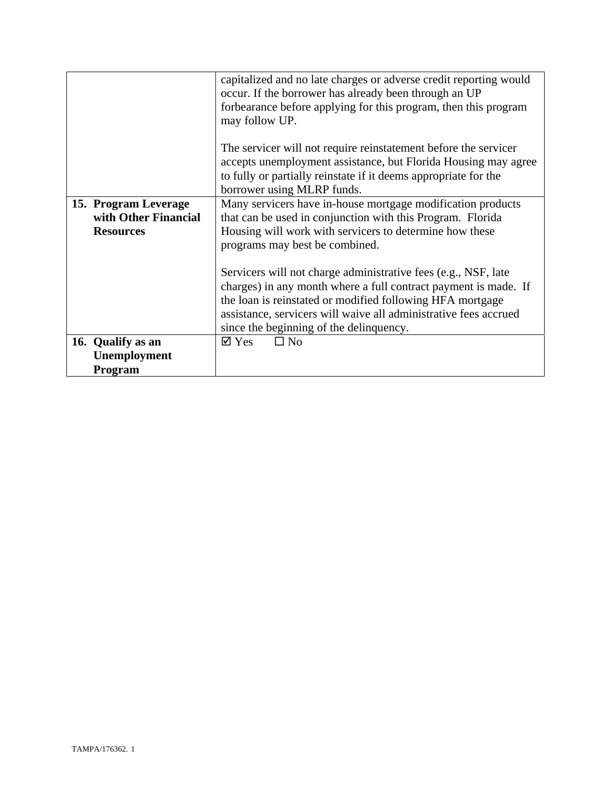|                                                                  | capitalized and no late charges or adverse credit reporting would<br>occur. If the borrower has already been through an UP                                                                                                                                                                                    |
|------------------------------------------------------------------|---------------------------------------------------------------------------------------------------------------------------------------------------------------------------------------------------------------------------------------------------------------------------------------------------------------|
|                                                                  | forbearance before applying for this program, then this program<br>may follow UP.                                                                                                                                                                                                                             |
|                                                                  | The servicer will not require reinstatement before the servicer<br>accepts unemployment assistance, but Florida Housing may agree<br>to fully or partially reinstate if it deems appropriate for the<br>borrower using MLRP funds.                                                                            |
| 15. Program Leverage<br>with Other Financial<br><b>Resources</b> | Many servicers have in-house mortgage modification products<br>that can be used in conjunction with this Program. Florida<br>Housing will work with servicers to determine how these<br>programs may best be combined.                                                                                        |
|                                                                  | Servicers will not charge administrative fees (e.g., NSF, late<br>charges) in any month where a full contract payment is made. If<br>the loan is reinstated or modified following HFA mortgage<br>assistance, servicers will waive all administrative fees accrued<br>since the beginning of the delinquency. |
| 16. Qualify as an<br><b>Unemployment</b><br><b>Program</b>       | $\square$ No<br>$\boxtimes$ Yes                                                                                                                                                                                                                                                                               |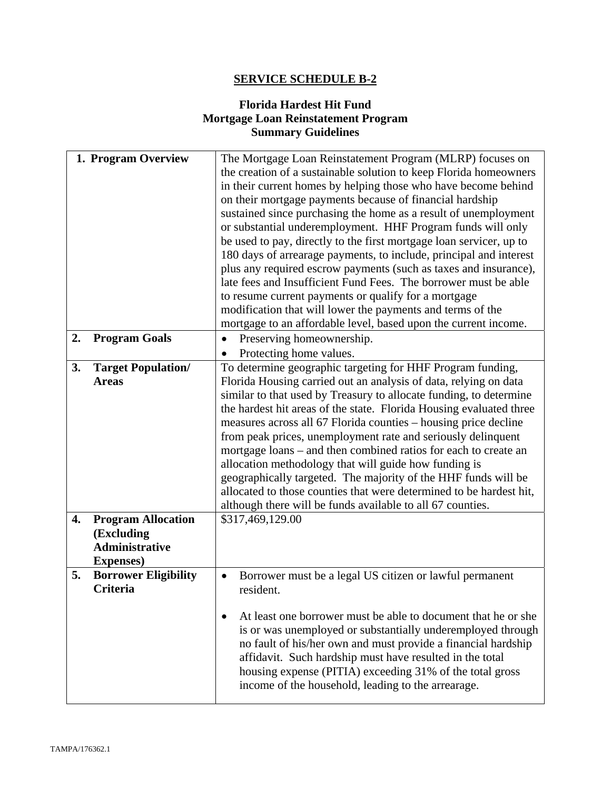# **SERVICE SCHEDULE B-2**

### **Florida Hardest Hit Fund Mortgage Loan Reinstatement Program Summary Guidelines**

|    | 1. Program Overview                                                                   | The Mortgage Loan Reinstatement Program (MLRP) focuses on<br>the creation of a sustainable solution to keep Florida homeowners<br>in their current homes by helping those who have become behind<br>on their mortgage payments because of financial hardship<br>sustained since purchasing the home as a result of unemployment<br>or substantial underemployment. HHF Program funds will only<br>be used to pay, directly to the first mortgage loan servicer, up to<br>180 days of arrearage payments, to include, principal and interest<br>plus any required escrow payments (such as taxes and insurance),                                                                                                                                   |
|----|---------------------------------------------------------------------------------------|---------------------------------------------------------------------------------------------------------------------------------------------------------------------------------------------------------------------------------------------------------------------------------------------------------------------------------------------------------------------------------------------------------------------------------------------------------------------------------------------------------------------------------------------------------------------------------------------------------------------------------------------------------------------------------------------------------------------------------------------------|
|    |                                                                                       | late fees and Insufficient Fund Fees. The borrower must be able                                                                                                                                                                                                                                                                                                                                                                                                                                                                                                                                                                                                                                                                                   |
|    |                                                                                       | to resume current payments or qualify for a mortgage<br>modification that will lower the payments and terms of the                                                                                                                                                                                                                                                                                                                                                                                                                                                                                                                                                                                                                                |
|    |                                                                                       | mortgage to an affordable level, based upon the current income.                                                                                                                                                                                                                                                                                                                                                                                                                                                                                                                                                                                                                                                                                   |
| 2. | <b>Program Goals</b>                                                                  | Preserving homeownership.<br>$\bullet$                                                                                                                                                                                                                                                                                                                                                                                                                                                                                                                                                                                                                                                                                                            |
|    |                                                                                       | Protecting home values.                                                                                                                                                                                                                                                                                                                                                                                                                                                                                                                                                                                                                                                                                                                           |
| 3. | <b>Target Population/</b><br><b>Areas</b>                                             | To determine geographic targeting for HHF Program funding,<br>Florida Housing carried out an analysis of data, relying on data<br>similar to that used by Treasury to allocate funding, to determine<br>the hardest hit areas of the state. Florida Housing evaluated three<br>measures across all 67 Florida counties – housing price decline<br>from peak prices, unemployment rate and seriously delinquent<br>mortgage loans – and then combined ratios for each to create an<br>allocation methodology that will guide how funding is<br>geographically targeted. The majority of the HHF funds will be<br>allocated to those counties that were determined to be hardest hit,<br>although there will be funds available to all 67 counties. |
| 4. | <b>Program Allocation</b><br>(Excluding<br><b>Administrative</b><br><b>Expenses</b> ) | \$317,469,129.00                                                                                                                                                                                                                                                                                                                                                                                                                                                                                                                                                                                                                                                                                                                                  |
| 5. | <b>Borrower Eligibility</b><br><b>Criteria</b>                                        | Borrower must be a legal US citizen or lawful permanent<br>$\bullet$<br>resident.                                                                                                                                                                                                                                                                                                                                                                                                                                                                                                                                                                                                                                                                 |
|    |                                                                                       | At least one borrower must be able to document that he or she<br>is or was unemployed or substantially underemployed through<br>no fault of his/her own and must provide a financial hardship<br>affidavit. Such hardship must have resulted in the total<br>housing expense (PITIA) exceeding 31% of the total gross<br>income of the household, leading to the arrearage.                                                                                                                                                                                                                                                                                                                                                                       |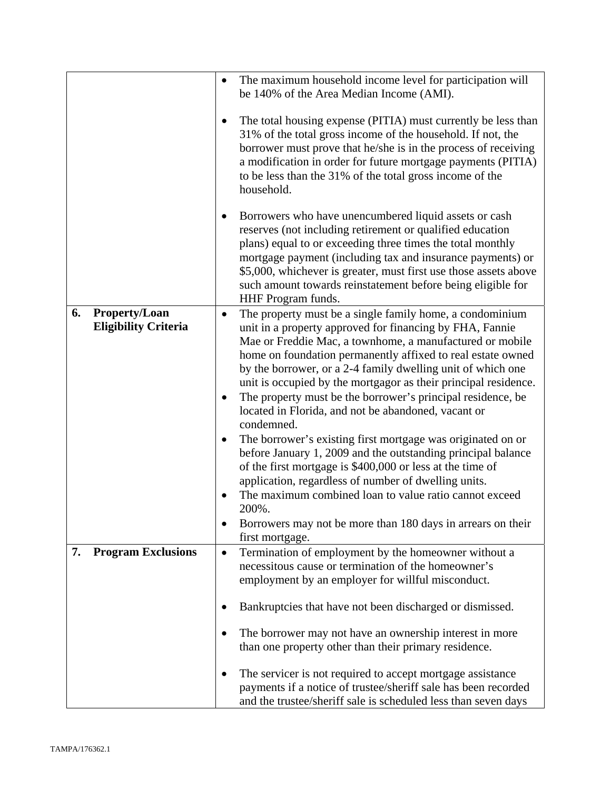|    |                                                     | The maximum household income level for participation will<br>$\bullet$<br>be 140% of the Area Median Income (AMI).                                                                                                                                                                                                                                                                                                                                                                                                                                                                                                                                                                                                                                                                                                                                                                                                                                                    |
|----|-----------------------------------------------------|-----------------------------------------------------------------------------------------------------------------------------------------------------------------------------------------------------------------------------------------------------------------------------------------------------------------------------------------------------------------------------------------------------------------------------------------------------------------------------------------------------------------------------------------------------------------------------------------------------------------------------------------------------------------------------------------------------------------------------------------------------------------------------------------------------------------------------------------------------------------------------------------------------------------------------------------------------------------------|
|    |                                                     | The total housing expense (PITIA) must currently be less than<br>31% of the total gross income of the household. If not, the<br>borrower must prove that he/she is in the process of receiving<br>a modification in order for future mortgage payments (PITIA)<br>to be less than the 31% of the total gross income of the<br>household.                                                                                                                                                                                                                                                                                                                                                                                                                                                                                                                                                                                                                              |
|    |                                                     | Borrowers who have unencumbered liquid assets or cash<br>reserves (not including retirement or qualified education<br>plans) equal to or exceeding three times the total monthly<br>mortgage payment (including tax and insurance payments) or<br>\$5,000, whichever is greater, must first use those assets above<br>such amount towards reinstatement before being eligible for<br>HHF Program funds.                                                                                                                                                                                                                                                                                                                                                                                                                                                                                                                                                               |
| 6. | <b>Property/Loan</b><br><b>Eligibility Criteria</b> | The property must be a single family home, a condominium<br>$\bullet$<br>unit in a property approved for financing by FHA, Fannie<br>Mae or Freddie Mac, a townhome, a manufactured or mobile<br>home on foundation permanently affixed to real estate owned<br>by the borrower, or a 2-4 family dwelling unit of which one<br>unit is occupied by the mortgagor as their principal residence.<br>The property must be the borrower's principal residence, be<br>located in Florida, and not be abandoned, vacant or<br>condemned.<br>The borrower's existing first mortgage was originated on or<br>$\bullet$<br>before January 1, 2009 and the outstanding principal balance<br>of the first mortgage is \$400,000 or less at the time of<br>application, regardless of number of dwelling units.<br>The maximum combined loan to value ratio cannot exceed<br>200%.<br>Borrowers may not be more than 180 days in arrears on their<br>$\bullet$<br>first mortgage. |
| 7. | <b>Program Exclusions</b>                           | Termination of employment by the homeowner without a<br>$\bullet$<br>necessitous cause or termination of the homeowner's<br>employment by an employer for willful misconduct.                                                                                                                                                                                                                                                                                                                                                                                                                                                                                                                                                                                                                                                                                                                                                                                         |
|    |                                                     | Bankruptcies that have not been discharged or dismissed.<br>The borrower may not have an ownership interest in more<br>than one property other than their primary residence.                                                                                                                                                                                                                                                                                                                                                                                                                                                                                                                                                                                                                                                                                                                                                                                          |
|    |                                                     | The servicer is not required to accept mortgage assistance<br>payments if a notice of trustee/sheriff sale has been recorded<br>and the trustee/sheriff sale is scheduled less than seven days                                                                                                                                                                                                                                                                                                                                                                                                                                                                                                                                                                                                                                                                                                                                                                        |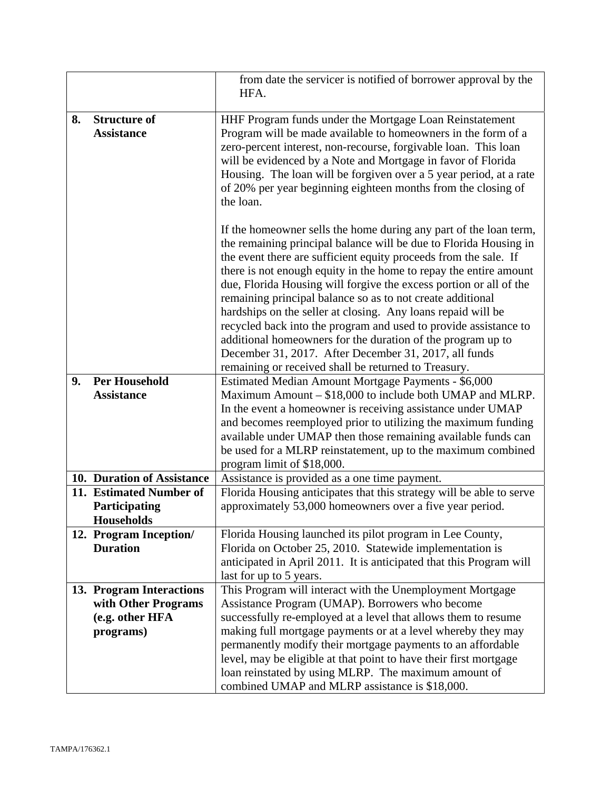|    |                            | from date the servicer is notified of borrower approval by the<br>HFA.                                                                 |
|----|----------------------------|----------------------------------------------------------------------------------------------------------------------------------------|
| 8. | <b>Structure of</b>        | HHF Program funds under the Mortgage Loan Reinstatement                                                                                |
|    |                            |                                                                                                                                        |
|    | <b>Assistance</b>          | Program will be made available to homeowners in the form of a                                                                          |
|    |                            | zero-percent interest, non-recourse, forgivable loan. This loan                                                                        |
|    |                            | will be evidenced by a Note and Mortgage in favor of Florida                                                                           |
|    |                            | Housing. The loan will be forgiven over a 5 year period, at a rate                                                                     |
|    |                            | of 20% per year beginning eighteen months from the closing of                                                                          |
|    |                            | the loan.                                                                                                                              |
|    |                            |                                                                                                                                        |
|    |                            | If the homeowner sells the home during any part of the loan term,<br>the remaining principal balance will be due to Florida Housing in |
|    |                            |                                                                                                                                        |
|    |                            | the event there are sufficient equity proceeds from the sale. If                                                                       |
|    |                            | there is not enough equity in the home to repay the entire amount                                                                      |
|    |                            | due, Florida Housing will forgive the excess portion or all of the                                                                     |
|    |                            | remaining principal balance so as to not create additional                                                                             |
|    |                            | hardships on the seller at closing. Any loans repaid will be                                                                           |
|    |                            | recycled back into the program and used to provide assistance to                                                                       |
|    |                            | additional homeowners for the duration of the program up to                                                                            |
|    |                            | December 31, 2017. After December 31, 2017, all funds                                                                                  |
|    |                            | remaining or received shall be returned to Treasury.                                                                                   |
| 9. | <b>Per Household</b>       | Estimated Median Amount Mortgage Payments - \$6,000                                                                                    |
|    | <b>Assistance</b>          | Maximum Amount – \$18,000 to include both UMAP and MLRP.                                                                               |
|    |                            | In the event a homeowner is receiving assistance under UMAP                                                                            |
|    |                            | and becomes reemployed prior to utilizing the maximum funding                                                                          |
|    |                            | available under UMAP then those remaining available funds can                                                                          |
|    |                            | be used for a MLRP reinstatement, up to the maximum combined                                                                           |
|    |                            | program limit of \$18,000.                                                                                                             |
|    | 10. Duration of Assistance | Assistance is provided as a one time payment.                                                                                          |
|    | 11. Estimated Number of    | Florida Housing anticipates that this strategy will be able to serve                                                                   |
|    | Participating              | approximately 53,000 homeowners over a five year period.                                                                               |
|    | <b>Households</b>          |                                                                                                                                        |
|    | 12. Program Inception/     | Florida Housing launched its pilot program in Lee County,                                                                              |
|    | <b>Duration</b>            | Florida on October 25, 2010. Statewide implementation is                                                                               |
|    |                            | anticipated in April 2011. It is anticipated that this Program will                                                                    |
|    |                            | last for up to 5 years.                                                                                                                |
|    | 13. Program Interactions   | This Program will interact with the Unemployment Mortgage                                                                              |
|    | with Other Programs        | Assistance Program (UMAP). Borrowers who become                                                                                        |
|    | (e.g. other HFA            | successfully re-employed at a level that allows them to resume                                                                         |
|    | programs)                  | making full mortgage payments or at a level whereby they may                                                                           |
|    |                            | permanently modify their mortgage payments to an affordable                                                                            |
|    |                            | level, may be eligible at that point to have their first mortgage                                                                      |
|    |                            | loan reinstated by using MLRP. The maximum amount of                                                                                   |
|    |                            | combined UMAP and MLRP assistance is \$18,000.                                                                                         |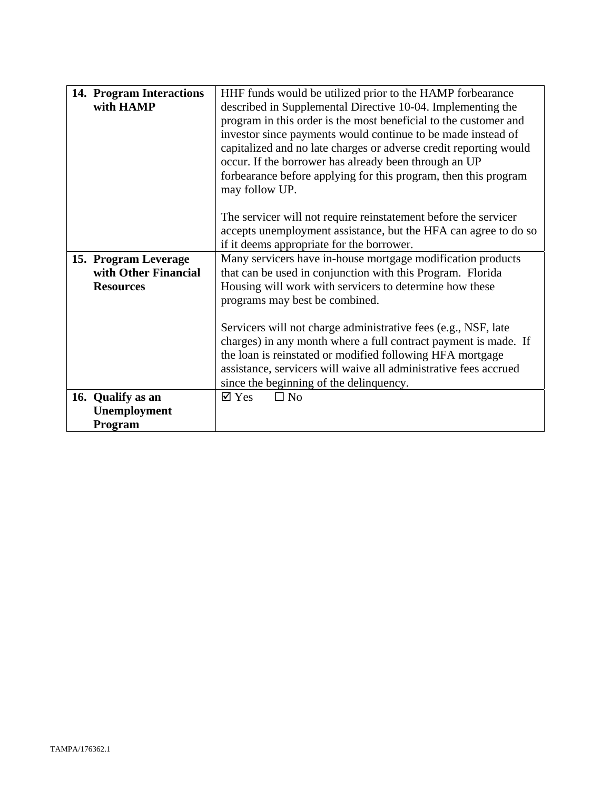| 14. Program Interactions | HHF funds would be utilized prior to the HAMP forbearance         |
|--------------------------|-------------------------------------------------------------------|
| with HAMP                | described in Supplemental Directive 10-04. Implementing the       |
|                          | program in this order is the most beneficial to the customer and  |
|                          | investor since payments would continue to be made instead of      |
|                          | capitalized and no late charges or adverse credit reporting would |
|                          | occur. If the borrower has already been through an UP             |
|                          | forbearance before applying for this program, then this program   |
|                          | may follow UP.                                                    |
|                          |                                                                   |
|                          | The servicer will not require reinstatement before the servicer   |
|                          | accepts unemployment assistance, but the HFA can agree to do so   |
|                          | if it deems appropriate for the borrower.                         |
| 15. Program Leverage     | Many servicers have in-house mortgage modification products       |
| with Other Financial     | that can be used in conjunction with this Program. Florida        |
| <b>Resources</b>         | Housing will work with servicers to determine how these           |
|                          | programs may best be combined.                                    |
|                          |                                                                   |
|                          | Servicers will not charge administrative fees (e.g., NSF, late    |
|                          | charges) in any month where a full contract payment is made. If   |
|                          | the loan is reinstated or modified following HFA mortgage         |
|                          | assistance, servicers will waive all administrative fees accrued  |
|                          | since the beginning of the delinquency.                           |
| 16. Qualify as an        | $\boxtimes$ Yes<br>$\square$ No                                   |
| Unemployment             |                                                                   |
| Program                  |                                                                   |